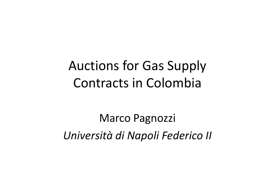# Auctions for Gas Supply Contracts in Colombia

Marco Pagnozzi*Università di Napoli Federico II*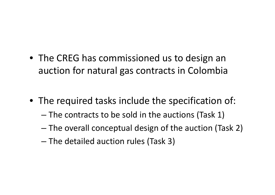- The CREG has commissioned us to design an auction for natural gas contracts in Colombia
- The required tasks include the specification of:
	- – $-$  The contracts to be sold in the auctions (Task 1)
	- and the state of the state  $-$  The overall conceptual design of the auction (Task 2)
	- and the state of the state  $-$  The detailed auction rules (Task 3)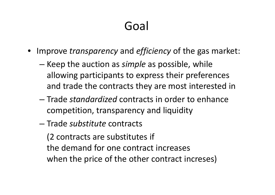## Goal

- Improve *transparency* and *efficiency* of the gas market:
	- and the state of the state — Keep the auction as *simple* as possible, while allowing participants to express their preferences and trade the contracts they are most interested in
	- – Trade *standardized* contracts in order to enhance competition, transparency and liquidity
	- –Trade *substitute* contracts

(2 contracts are substitutes if the demand for one contract increases when the price of the other contract increses)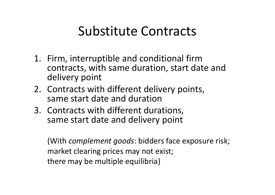## Substitute Contracts

- 1. Firm, interruptible and conditional firm contracts, with same duration, start date and delivery point
- 2. Contracts with different delivery points, same start date and duration
- 3. Contracts with different durations, same start date and delivery point

(With *complement goods*: bidders face exposure risk; market clearing prices may not exist; there may be multiple equilibria)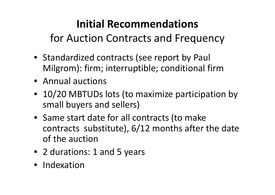### **Initial Recommendations**

for Auction Contracts and Frequency

- Standardized contracts (see report by Paul Milgrom): firm; interruptible; conditional firm
- Annual auctions
- 10/20 MBTUDs lots (to maximize participation by small buyers and sellers)
- Same start date for all contracts (to make contracts substitute), 6/12 months after the date of the auction
- 2 durations: 1 and 5 years
- Indexation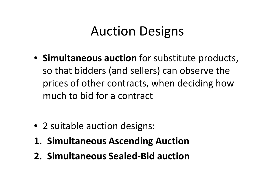# Auction Designs

- **Simultaneous auction** for substitute products, so that bidders (and sellers) can observe the prices of other contracts, when deciding howmuch to bid for a contract
- 2 suitable auction designs:
- **1. Simultaneous Ascending Auction**
- **2. Simultaneous Sealed-Bid auction**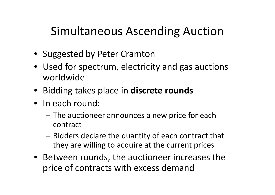### Simultaneous Ascending Auction

- Suggested by Peter Cramton
- Used for spectrum, electricity and gas auctions worldwide
- Bidding takes place in **discrete rounds**
- In each round:
	- The auctioneer announces a new price for each contract
	- –- Bidders declare the quantity of each contract that they are willing to acquire at the current prices
- Between rounds, the auctioneer increases the price of contracts with excess demand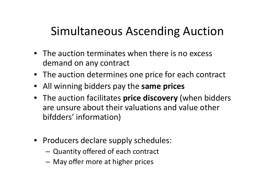### Simultaneous Ascending Auction

- The auction terminates when there is no excess demand on any contract
- The auction determines one price for each contract
- All winning bidders pay the **same prices**
- The auction facilitates **price discovery** (when bidders are unsure about their valuations and value other bifdders' information)
- Producers declare supply schedules:
	- – $-$  Quantity offered of each contract
	- **Links of the Company**  $-$  May offer more at higher prices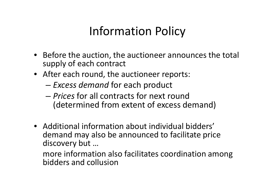### Information Policy

- Before the auction, the auctioneer announces the total supply of each contract
- After each round, the auctioneer reports:
	- and the state of the state *Excess demand* for each product
	- and the state of *Prices* for all contracts for next round<br> *Contenuaireal frame artent of arrange* de (determined from extent of excess demand)
- Additional information about individual bidders' demand may also be announced to facilitate price discovery but …

 more information also facilitates coordination among bidders and collusion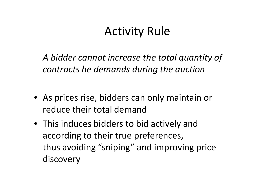### Activity Rule

*A bidder cannot increase the total quantity of contracts he demands during the auction*

- As prices rise, bidders can only maintain or reduce their total demand
- This induces bidders to bid actively and according to their true preferences, thus avoiding "sniping" and improving price discovery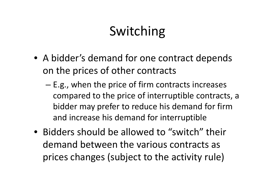# Switching

- A bidder's demand for one contract depends on the prices of other contracts
	- and the state of the state E.g., when the price of firm contracts increases compared to the price of interruptible contracts, abidder may prefer to reduce his demand for firm and increase his demand for interruptible
- Bidders should be allowed to "switch" their demand between the various contracts as prices changes (subject to the activity rule)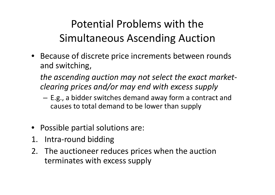### Potential Problems with the Simultaneous Ascending Auction

• Because of discrete price increments between rounds and switching,

*the ascending auction may not select the exact marketclearing prices and/or may end with excess supply* 

- – E.g., a bidder switches demand away form a contract and causes to total demand to be lower than supply
- Possible partial solutions are:
- 1. Intra-round bidding
- 2. The auctioneer reduces prices when the auction terminates with excess supply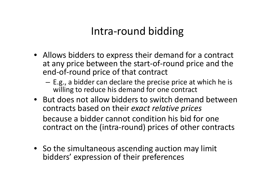### Intra-round bidding

- Allows bidders to express their demand for a contract at any price between the start-of-round price and the end-of-round price of that contract
	- –- E.g., a bidder can declare the precise price at which he is  $$ willing to reduce his demand for one contract
- But does not allow bidders to switch demand between contracts based on their *exact relative prices*because a bidder cannot condition his bid for one contract on the (intra-round) prices of other contracts
- So the simultaneous ascending auction may limit bidders' expression of their preferences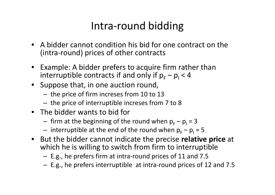### Intra-round bidding

- A bidder cannot condition his bid for one contract on the (intra-round) prices of other contracts
- Example: A bidder prefers to acquire firm rather than interruptible contracts if and only if  $p_F - p_I < 4$
- Suppose that, in one auction round,
	- **Links of the Company** the price of firm increses from 10 to 13<br>the price of intermentials increases from
	- – $-$  the price of interruptible increses from 7 to 8
- The bidder wants to bid for
	- **Links of the Company**  $-$  firm at the beginning of the round when  $p_F - p_I = 3$
	- – $-$  interruptible at the end of the round when  ${\sf p}_{_{\mathsf{F}}}{\sf -}{\sf p}_{_{\mathsf{I}}}$  = 5
- $\bullet$  But the bidder cannot indicate the precise **relative price** at which he is willing to switch from firm to interruptible
	- **Links of the Company** E.g., he prefers firm at intra-round prices of 11 and 7.5
	- **Links of the Company** E.g., he prefers interruptible at intra-round prices of 12 and 7.5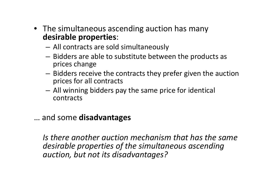- The simultaneous ascending auction has many **desirable properties**:
	- and the state of the All contracts are sold simultaneously
	- and the state of the - Bidders are able to substitute between the products as prices change
	- –- Bidders receive the contracts they prefer given the auction prices for all contracts
	- –- All winning bidders pay the same price for identical contracts

#### … and some **disadvantages**

*Is there another auction mechanism that has the same desirable properties of the simultaneous ascending auction, but not its disadvantages?*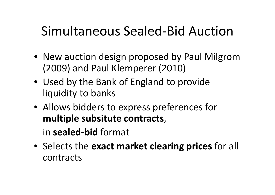# Simultaneous Sealed-Bid Auction

- New auction design proposed by Paul Milgrom(2009) and Paul Klemperer (2010)
- Used by the Bank of England to provide liquidity to banks
- Allows bidders to express preferences for **multiple subsitute contracts**,

in **sealed-bid** format

• Selects the **exact market clearing prices** for all contracts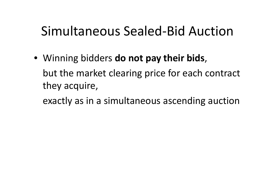# Simultaneous Sealed-Bid Auction

• Winning bidders **do not pay their bids**, but the market clearing price for each contract they acquire,

exactly as in a simultaneous ascending auction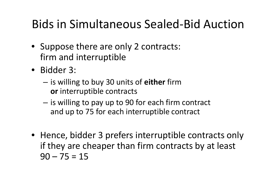## Bids in Simultaneous Sealed-Bid Auction

- Suppose there are only 2 contracts: firm and interruptible
- Bidder 3:
	- – is willing to buy 30 units of **either** firm**or** interruptible contracts
	- –is willing to pay up to 90 for each firm contract<br>and un to 75 for each interruptible contract and up to 75 for each interruptible contract
- Hence, bidder 3 prefers interruptible contracts only if they are cheaper than firm contracts by at least  $90 - 75 = 15$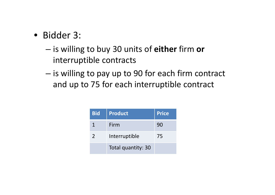- Bidder 3:
	- – is willing to buy 30 units of **either** firm **or** interruptible contracts
	- – $-$  is willing to pay up to 90 for each firm contract and up to 75 for each interruptible contract

| <b>Bid</b> | <b>Product</b>     | <b>Price</b> |
|------------|--------------------|--------------|
|            | Firm               | 90           |
|            | Interruptible      | 75           |
|            | Total quantity: 30 |              |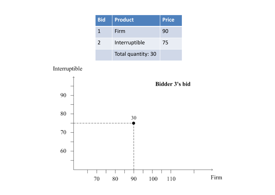| <b>Bid</b>    | <b>Product</b>     | <b>Price</b> |
|---------------|--------------------|--------------|
|               | Firm               | 90           |
| $\mathcal{L}$ | Interruptible      | 75           |
|               | Total quantity: 30 |              |

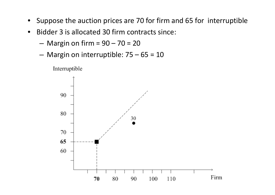- $\bullet$ Suppose the auction prices are 70 for firm and 65 for interruptible
- $\bullet$  Bidder 3 is allocated 30 firm contracts since:
	- **Links of the Company**  $-$  Margin on firm =  $90 - 70 = 20$
	- and the state of the Margin on interruptible: 75 – 65 = 10

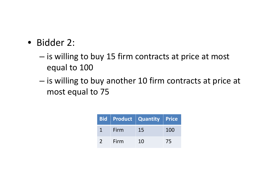- Bidder 2:
	- – $-$  is willing to buy 15 firm contracts at price at most equal to <sup>100</sup>
	- – $-$  is willing to buy another 10 firm contracts at price at most equal to <sup>75</sup>

|      | <b>Bid Product Quantity Price</b> |     |
|------|-----------------------------------|-----|
| Firm | 15                                | 100 |
| Firm | 10                                | 75  |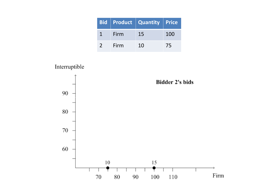|               |      | Bid Product Quantity Price |     |
|---------------|------|----------------------------|-----|
|               | Firm | 15                         | 100 |
| $\mathcal{L}$ | Firm | 1 <sub>0</sub>             | 75  |

Interruptible

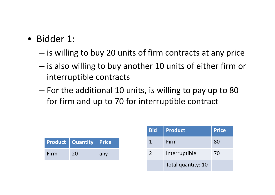- Bidder 1:
	- – $-$  is willing to buy 20 units of firm contracts at any price
	- and the state of the state  $-$  is also willing to buy another 10 units of either firm or interruptible contracts
	- – For the additional 10 units, is willing to pay up to <sup>80</sup> for firm and up to 70 for interruptible contract

|      | <b>Product   Quantity   Price</b> |     |
|------|-----------------------------------|-----|
| Firm | 20                                | any |

| <b>Bid</b>    | <b>Product</b>     | <b>Price</b> |
|---------------|--------------------|--------------|
|               | Firm               | 80           |
| $\mathcal{P}$ | Interruptible      | 70           |
|               | Total quantity: 10 |              |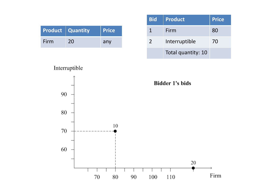|      | <b>Product Quantity</b> | <b>Price</b> |
|------|-------------------------|--------------|
| Firm | 20                      | any          |

| <b>Bid</b>    | Product            | <b>Price</b> |
|---------------|--------------------|--------------|
|               | Firm               | 80           |
| $\mathcal{P}$ | Interruptible      | 70           |
|               | Total quantity: 10 |              |

**Bidder 1's bids**  $90\,$  $80\,$  $10\,$ 70 60  $20\,$ Firm  $100\,$  $110\,$  $80\,$  $70\,$  $90\,$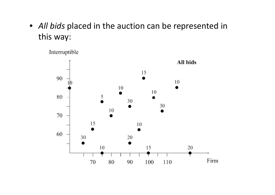• *All bids* placed in the auction can be represented in this way:

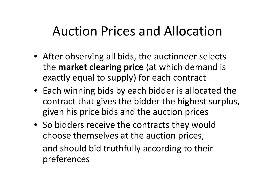## Auction Prices and Allocation

- After observing all bids, the auctioneer selects the **market clearing price** (at which demand is exactly equal to supply) for each contract
- Each winning bids by each bidder is allocated the contract that gives the bidder the highest surplus,given his price bids and the auction prices
- So bidders receive the contracts they wouldchoose themselves at the auction prices, and should bid truthfully according to their preferences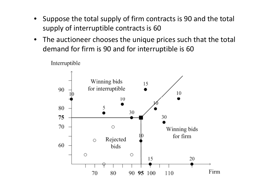- Suppose the total supply of firm contracts is 90 and the total supply of interruptible contracts is <sup>60</sup>
- $\bullet$  The auctioneer chooses the unique prices such that the total demand for firm is 90 and for interruptible is 60

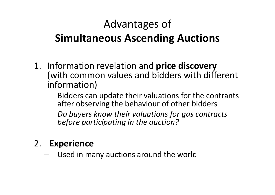### Advantages of **Simultaneous Ascending Auctions**

- 1. Information revelation and **price discovery** (with common values and bidders with different information)
	- – Bidders can update their valuations for the contrants after observing the behaviour of other bidders *Do buyers know their valuations for gas contracts before participating in the auction?*
- 2. **Experience**
	- Used in many auctions around the world–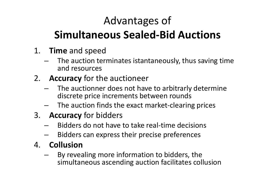## Advantages of

### **Simultaneous Sealed-Bid Auctions**

- 1. **Time** and speed
	- The auction terminates istantaneously, thus saving time and resources
- 2. **Accuracy** for the auctioneer
	- – The auctionner does not have to arbitrarly determine discrete price increments between rounds
	- $-$  The auction finds the exact market-clearing prices
- 3. **Accuracy** for bidders
	- –Bidders do not have to take real-time decisions
	- Bidders can express their precise preferences
- 4. **Collusion**
	- By revealing more information to bidders, the –simultaneous ascending auction facilitates collusion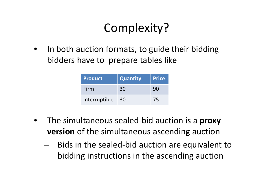## Complexity?

 $\bullet$  In both auction formats, to guide their bidding bidders have to prepare tables like

| Product       | <b>Quantity</b> | <b>Price</b> |
|---------------|-----------------|--------------|
| Firm          | 30              | 90           |
| Interruptible | 30              | 75           |

- • The simultaneous sealed-bid auction is <sup>a</sup>**proxy version** of the simultaneous ascending auction
	- –- Bids in the sealed-bid auction are equivalent to bidding instructions in the ascending auction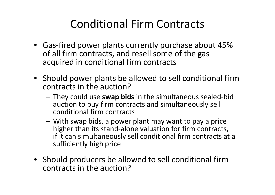### Conditional Firm Contracts

- Gas-fired power plants currently purchase about 45% of all firm contracts, and resell some of the gas acquired in conditional firm contracts
- Should power plants be allowed to sell conditional firm contracts in the auction?
	- **Links of the Company** - They could use **swap bids** in the simultaneous sealed-bid auction to buy firm contracts and simultaneously sell conditional firm contracts
	- –- With swap bids, a power plant may want to pay a price higher than its stand-alone valuation for firm contracts, if it can simultaneously sell conditional firm contracts at a sufficiently high price
- Should producers be allowed to sell conditional firm contracts in the auction?